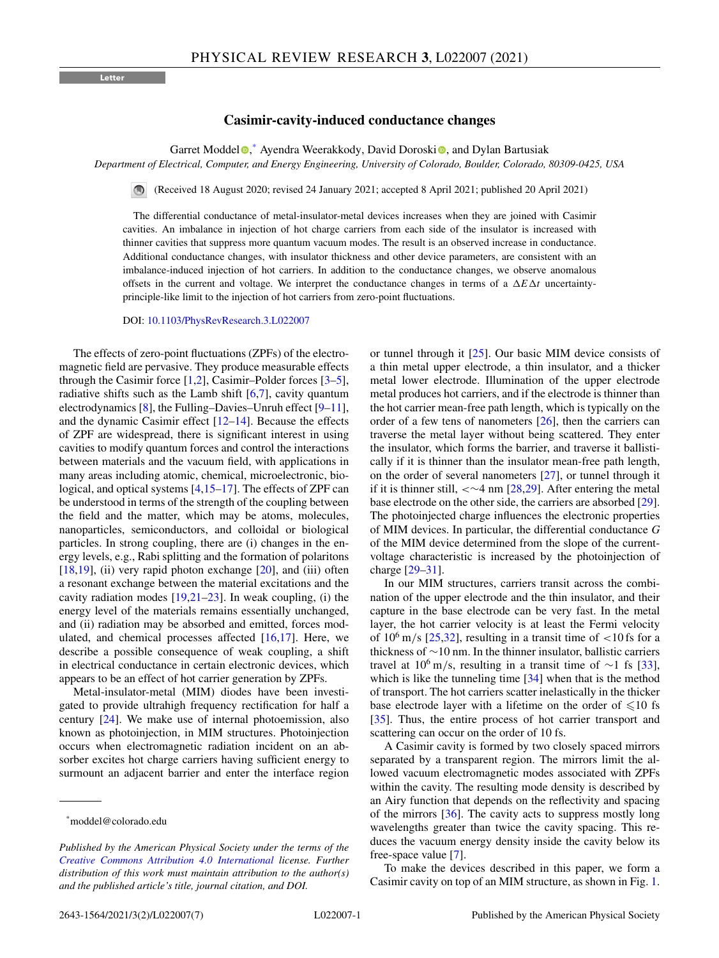**Letter**

## **Casimir-cavity-induced conductance changes**

Garret Moddel<sup>®</sup>[,](https://orcid.org/0000-0002-1397-0319) Ayendra Weerakkody, Dav[i](https://orcid.org/0000-0002-7950-0168)d Doroski<sup>®</sup>, and Dylan Bartusiak

*Department of Electrical, Computer, and Energy Engineering, University of Colorado, Boulder, Colorado, 80309-0425, USA*

(Received 18 August 2020; revised 24 January 2021; accepted 8 April 2021; published 20 April 2021)

The differential conductance of metal-insulator-metal devices increases when they are joined with Casimir cavities. An imbalance in injection of hot charge carriers from each side of the insulator is increased with thinner cavities that suppress more quantum vacuum modes. The result is an observed increase in conductance. Additional conductance changes, with insulator thickness and other device parameters, are consistent with an imbalance-induced injection of hot carriers. In addition to the conductance changes, we observe anomalous offsets in the current and voltage. We interpret the conductance changes in terms of a  $\Delta E \Delta t$  uncertaintyprinciple-like limit to the injection of hot carriers from zero-point fluctuations.

DOI: [10.1103/PhysRevResearch.3.L022007](https://doi.org/10.1103/PhysRevResearch.3.L022007)

The effects of zero-point fluctuations (ZPFs) of the electromagnetic field are pervasive. They produce measurable effects through the Casimir force  $[1,2]$ , Casimir–Polder forces  $[3-5]$ , radiative shifts such as the Lamb shift  $[6,7]$ , cavity quantum electrodynamics [\[8\]](#page-4-0), the Fulling–Davies–Unruh effect [\[9–11\]](#page-4-0), and the dynamic Casimir effect [\[12](#page-4-0)[–14\]](#page-5-0). Because the effects of ZPF are widespread, there is significant interest in using cavities to modify quantum forces and control the interactions between materials and the vacuum field, with applications in many areas including atomic, chemical, microelectronic, biological, and optical systems [\[4](#page-4-0)[,15–17\]](#page-5-0). The effects of ZPF can be understood in terms of the strength of the coupling between the field and the matter, which may be atoms, molecules, nanoparticles, semiconductors, and colloidal or biological particles. In strong coupling, there are (i) changes in the energy levels, e.g., Rabi splitting and the formation of polaritons  $[18,19]$ , (ii) very rapid photon exchange  $[20]$ , and (iii) often a resonant exchange between the material excitations and the cavity radiation modes [\[19,21–23\]](#page-5-0). In weak coupling, (i) the energy level of the materials remains essentially unchanged, and (ii) radiation may be absorbed and emitted, forces modulated, and chemical processes affected  $[16,17]$ . Here, we describe a possible consequence of weak coupling, a shift in electrical conductance in certain electronic devices, which appears to be an effect of hot carrier generation by ZPFs.

Metal-insulator-metal (MIM) diodes have been investigated to provide ultrahigh frequency rectification for half a century [\[24\]](#page-5-0). We make use of internal photoemission, also known as photoinjection, in MIM structures. Photoinjection occurs when electromagnetic radiation incident on an absorber excites hot charge carriers having sufficient energy to surmount an adjacent barrier and enter the interface region or tunnel through it [\[25\]](#page-5-0). Our basic MIM device consists of a thin metal upper electrode, a thin insulator, and a thicker metal lower electrode. Illumination of the upper electrode metal produces hot carriers, and if the electrode is thinner than the hot carrier mean-free path length, which is typically on the order of a few tens of nanometers [\[26\]](#page-5-0), then the carriers can traverse the metal layer without being scattered. They enter the insulator, which forms the barrier, and traverse it ballistically if it is thinner than the insulator mean-free path length, on the order of several nanometers [\[27\]](#page-5-0), or tunnel through it if it is thinner still, < $\sim$ 4 nm [\[28,29\]](#page-5-0). After entering the metal base electrode on the other side, the carriers are absorbed [\[29\]](#page-5-0). The photoinjected charge influences the electronic properties of MIM devices. In particular, the differential conductance *G* of the MIM device determined from the slope of the currentvoltage characteristic is increased by the photoinjection of charge [\[29–31\]](#page-5-0).

In our MIM structures, carriers transit across the combination of the upper electrode and the thin insulator, and their capture in the base electrode can be very fast. In the metal layer, the hot carrier velocity is at least the Fermi velocity of  $10^6$  m/s  $[25,32]$ , resulting in a transit time of  $\lt 10$  fs for a thickness of ∼10 nm. In the thinner insulator, ballistic carriers travel at  $10^6$  m/s, resulting in a transit time of ~1 fs [\[33\]](#page-5-0), which is like the tunneling time [\[34\]](#page-5-0) when that is the method of transport. The hot carriers scatter inelastically in the thicker base electrode layer with a lifetime on the order of  $\leq 10$  fs [\[35\]](#page-5-0). Thus, the entire process of hot carrier transport and scattering can occur on the order of 10 fs.

A Casimir cavity is formed by two closely spaced mirrors separated by a transparent region. The mirrors limit the allowed vacuum electromagnetic modes associated with ZPFs within the cavity. The resulting mode density is described by an Airy function that depends on the reflectivity and spacing of the mirrors [\[36\]](#page-5-0). The cavity acts to suppress mostly long wavelengths greater than twice the cavity spacing. This reduces the vacuum energy density inside the cavity below its free-space value [\[7\]](#page-4-0).

To make the devices described in this paper, we form a Casimir cavity on top of an MIM structure, as shown in Fig. [1.](#page-1-0)

<sup>\*</sup>moddel@colorado.edu

*Published by the American Physical Society under the terms of the [Creative Commons Attribution 4.0 International](https://creativecommons.org/licenses/by/4.0/) license. Further distribution of this work must maintain attribution to the author(s) and the published article's title, journal citation, and DOI.*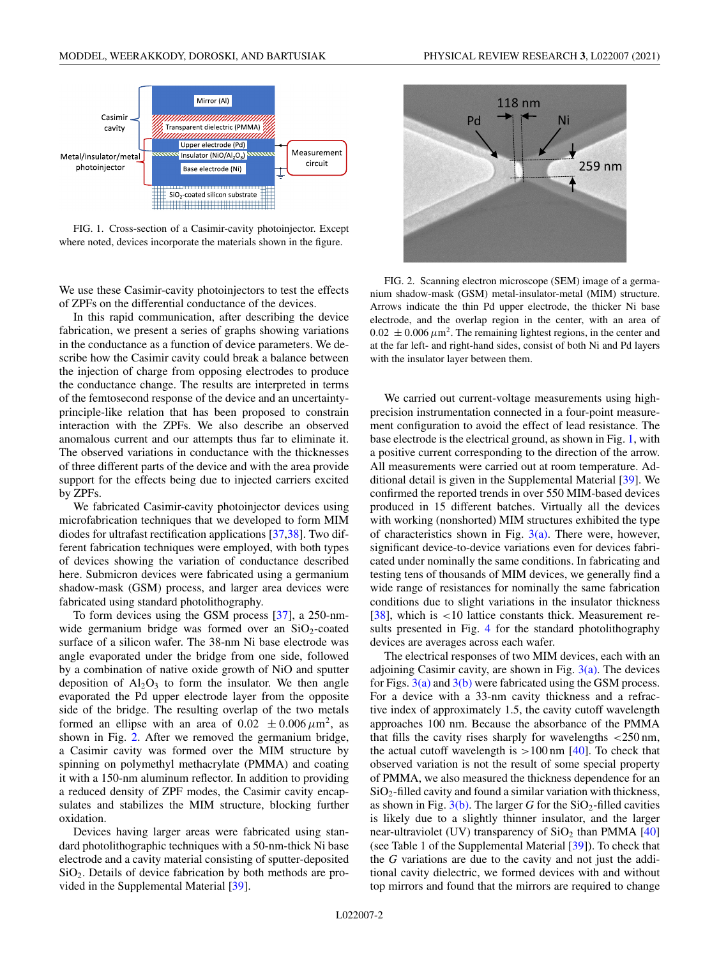<span id="page-1-0"></span>

FIG. 1. Cross-section of a Casimir-cavity photoinjector. Except where noted, devices incorporate the materials shown in the figure.

We use these Casimir-cavity photoinjectors to test the effects of ZPFs on the differential conductance of the devices.

In this rapid communication, after describing the device fabrication, we present a series of graphs showing variations in the conductance as a function of device parameters. We describe how the Casimir cavity could break a balance between the injection of charge from opposing electrodes to produce the conductance change. The results are interpreted in terms of the femtosecond response of the device and an uncertaintyprinciple-like relation that has been proposed to constrain interaction with the ZPFs. We also describe an observed anomalous current and our attempts thus far to eliminate it. The observed variations in conductance with the thicknesses of three different parts of the device and with the area provide support for the effects being due to injected carriers excited by ZPFs.

We fabricated Casimir-cavity photoinjector devices using microfabrication techniques that we developed to form MIM diodes for ultrafast rectification applications [\[37,38\]](#page-5-0). Two different fabrication techniques were employed, with both types of devices showing the variation of conductance described here. Submicron devices were fabricated using a germanium shadow-mask (GSM) process, and larger area devices were fabricated using standard photolithography.

To form devices using the GSM process [\[37\]](#page-5-0), a 250-nmwide germanium bridge was formed over an SiO<sub>2</sub>-coated surface of a silicon wafer. The 38-nm Ni base electrode was angle evaporated under the bridge from one side, followed by a combination of native oxide growth of NiO and sputter deposition of  $Al_2O_3$  to form the insulator. We then angle evaporated the Pd upper electrode layer from the opposite side of the bridge. The resulting overlap of the two metals formed an ellipse with an area of  $0.02 \pm 0.006 \,\mu \text{m}^2$ , as shown in Fig. 2. After we removed the germanium bridge, a Casimir cavity was formed over the MIM structure by spinning on polymethyl methacrylate (PMMA) and coating it with a 150-nm aluminum reflector. In addition to providing a reduced density of ZPF modes, the Casimir cavity encapsulates and stabilizes the MIM structure, blocking further oxidation.

Devices having larger areas were fabricated using standard photolithographic techniques with a 50-nm-thick Ni base electrode and a cavity material consisting of sputter-deposited SiO2. Details of device fabrication by both methods are provided in the Supplemental Material [\[39\]](#page-5-0).



FIG. 2. Scanning electron microscope (SEM) image of a germanium shadow-mask (GSM) metal-insulator-metal (MIM) structure. Arrows indicate the thin Pd upper electrode, the thicker Ni base electrode, and the overlap region in the center, with an area of  $0.02 \pm 0.006 \,\mu\text{m}^2$ . The remaining lightest regions, in the center and at the far left- and right-hand sides, consist of both Ni and Pd layers with the insulator layer between them.

We carried out current-voltage measurements using highprecision instrumentation connected in a four-point measurement configuration to avoid the effect of lead resistance. The base electrode is the electrical ground, as shown in Fig. 1, with a positive current corresponding to the direction of the arrow. All measurements were carried out at room temperature. Additional detail is given in the Supplemental Material [\[39\]](#page-5-0). We confirmed the reported trends in over 550 MIM-based devices produced in 15 different batches. Virtually all the devices with working (nonshorted) MIM structures exhibited the type of characteristics shown in Fig.  $3(a)$ . There were, however, significant device-to-device variations even for devices fabricated under nominally the same conditions. In fabricating and testing tens of thousands of MIM devices, we generally find a wide range of resistances for nominally the same fabrication conditions due to slight variations in the insulator thickness [\[38\]](#page-5-0), which is <10 lattice constants thick. Measurement results presented in Fig. [4](#page-3-0) for the standard photolithography devices are averages across each wafer.

The electrical responses of two MIM devices, each with an adjoining Casimir cavity, are shown in Fig.  $3(a)$ . The devices for Figs.  $3(a)$  and  $3(b)$  were fabricated using the GSM process. For a device with a 33-nm cavity thickness and a refractive index of approximately 1.5, the cavity cutoff wavelength approaches 100 nm. Because the absorbance of the PMMA that fills the cavity rises sharply for wavelengths  $\langle 250 \text{ nm},$ the actual cutoff wavelength is  $>100 \text{ nm}$  [\[40\]](#page-5-0). To check that observed variation is not the result of some special property of PMMA, we also measured the thickness dependence for an  $SiO<sub>2</sub>$ -filled cavity and found a similar variation with thickness, as shown in Fig.  $3(b)$ . The larger *G* for the  $SiO<sub>2</sub>$ -filled cavities is likely due to a slightly thinner insulator, and the larger near-ultraviolet (UV) transparency of  $SiO<sub>2</sub>$  than PMMA [\[40\]](#page-5-0) (see Table 1 of the Supplemental Material [\[39\]](#page-5-0)). To check that the *G* variations are due to the cavity and not just the additional cavity dielectric, we formed devices with and without top mirrors and found that the mirrors are required to change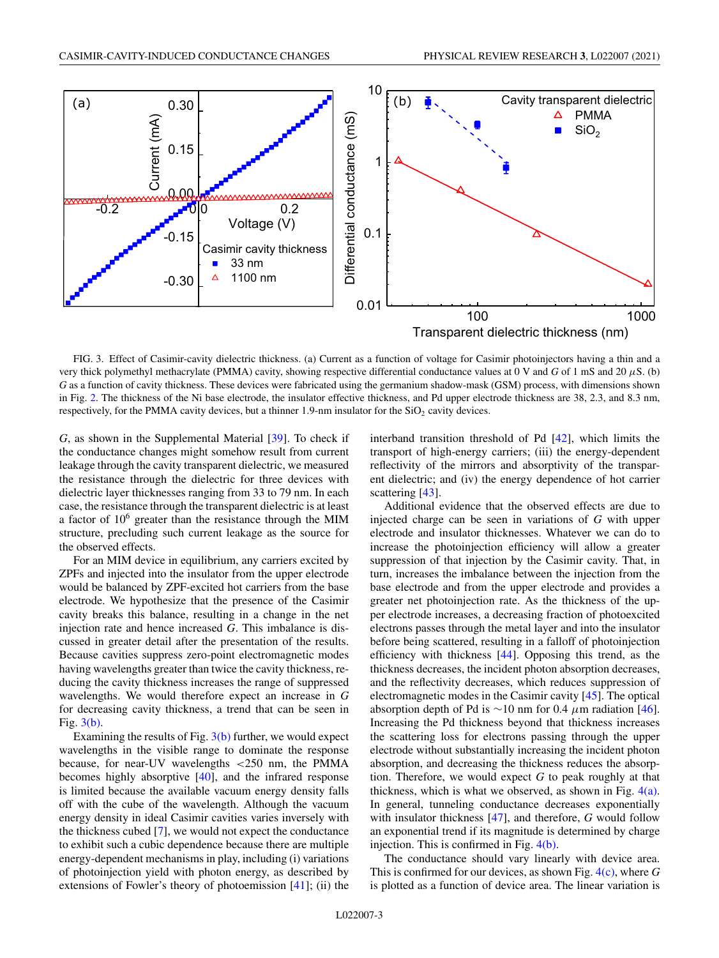<span id="page-2-0"></span>

FIG. 3. Effect of Casimir-cavity dielectric thickness. (a) Current as a function of voltage for Casimir photoinjectors having a thin and a very thick polymethyl methacrylate (PMMA) cavity, showing respective differential conductance values at 0 V and *G* of 1 mS and 20 μS. (b) *G* as a function of cavity thickness. These devices were fabricated using the germanium shadow-mask (GSM) process, with dimensions shown in Fig. [2.](#page-1-0) The thickness of the Ni base electrode, the insulator effective thickness, and Pd upper electrode thickness are 38, 2.3, and 8.3 nm, respectively, for the PMMA cavity devices, but a thinner 1.9-nm insulator for the  $SiO<sub>2</sub>$  cavity devices.

*G*, as shown in the Supplemental Material [\[39\]](#page-5-0). To check if the conductance changes might somehow result from current leakage through the cavity transparent dielectric, we measured the resistance through the dielectric for three devices with dielectric layer thicknesses ranging from 33 to 79 nm. In each case, the resistance through the transparent dielectric is at least a factor of  $10<sup>6</sup>$  greater than the resistance through the MIM structure, precluding such current leakage as the source for the observed effects.

For an MIM device in equilibrium, any carriers excited by ZPFs and injected into the insulator from the upper electrode would be balanced by ZPF-excited hot carriers from the base electrode. We hypothesize that the presence of the Casimir cavity breaks this balance, resulting in a change in the net injection rate and hence increased *G*. This imbalance is discussed in greater detail after the presentation of the results. Because cavities suppress zero-point electromagnetic modes having wavelengths greater than twice the cavity thickness, reducing the cavity thickness increases the range of suppressed wavelengths. We would therefore expect an increase in *G* for decreasing cavity thickness, a trend that can be seen in Fig. 3(b).

Examining the results of Fig.  $3(b)$  further, we would expect wavelengths in the visible range to dominate the response because, for near-UV wavelengths <250 nm, the PMMA becomes highly absorptive [\[40\]](#page-5-0), and the infrared response is limited because the available vacuum energy density falls off with the cube of the wavelength. Although the vacuum energy density in ideal Casimir cavities varies inversely with the thickness cubed [\[7\]](#page-4-0), we would not expect the conductance to exhibit such a cubic dependence because there are multiple energy-dependent mechanisms in play, including (i) variations of photoinjection yield with photon energy, as described by extensions of Fowler's theory of photoemission [\[41\]](#page-5-0); (ii) the interband transition threshold of Pd [\[42\]](#page-5-0), which limits the transport of high-energy carriers; (iii) the energy-dependent reflectivity of the mirrors and absorptivity of the transparent dielectric; and (iv) the energy dependence of hot carrier scattering [\[43\]](#page-5-0).

Additional evidence that the observed effects are due to injected charge can be seen in variations of *G* with upper electrode and insulator thicknesses. Whatever we can do to increase the photoinjection efficiency will allow a greater suppression of that injection by the Casimir cavity. That, in turn, increases the imbalance between the injection from the base electrode and from the upper electrode and provides a greater net photoinjection rate. As the thickness of the upper electrode increases, a decreasing fraction of photoexcited electrons passes through the metal layer and into the insulator before being scattered, resulting in a falloff of photoinjection efficiency with thickness [\[44\]](#page-5-0). Opposing this trend, as the thickness decreases, the incident photon absorption decreases, and the reflectivity decreases, which reduces suppression of electromagnetic modes in the Casimir cavity [\[45\]](#page-5-0). The optical absorption depth of Pd is ∼10 nm for 0.4  $\mu$ m radiation [\[46\]](#page-5-0). Increasing the Pd thickness beyond that thickness increases the scattering loss for electrons passing through the upper electrode without substantially increasing the incident photon absorption, and decreasing the thickness reduces the absorption. Therefore, we would expect *G* to peak roughly at that thickness, which is what we observed, as shown in Fig.  $4(a)$ . In general, tunneling conductance decreases exponentially with insulator thickness [\[47\]](#page-5-0), and therefore, *G* would follow an exponential trend if its magnitude is determined by charge injection. This is confirmed in Fig. [4\(b\).](#page-3-0)

The conductance should vary linearly with device area. This is confirmed for our devices, as shown Fig. [4\(c\),](#page-3-0) where *G* is plotted as a function of device area. The linear variation is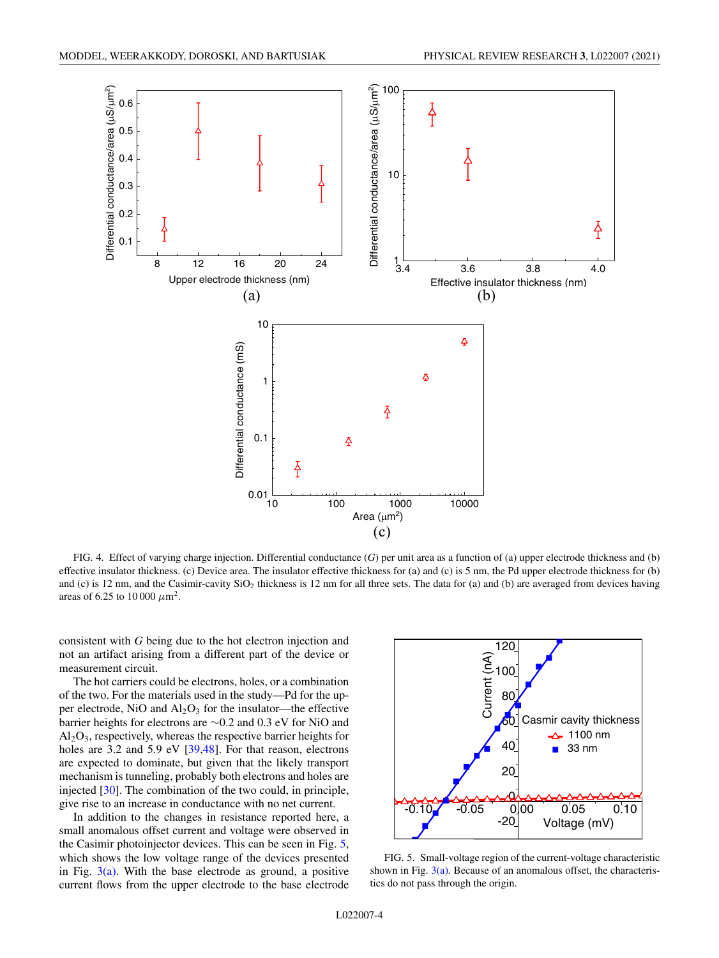<span id="page-3-0"></span>

FIG. 4. Effect of varying charge injection. Differential conductance (*G*) per unit area as a function of (a) upper electrode thickness and (b) effective insulator thickness. (c) Device area. The insulator effective thickness for (a) and (c) is 5 nm, the Pd upper electrode thickness for (b) and (c) is 12 nm, and the Casimir-cavity  $SiO<sub>2</sub>$  thickness is 12 nm for all three sets. The data for (a) and (b) are averaged from devices having areas of 6.25 to 10 000  $\mu$ m<sup>2</sup>.

consistent with *G* being due to the hot electron injection and not an artifact arising from a different part of the device or measurement circuit.

The hot carriers could be electrons, holes, or a combination of the two. For the materials used in the study—Pd for the upper electrode, NiO and  $Al_2O_3$  for the insulator—the effective barrier heights for electrons are ∼0.2 and 0.3 eV for NiO and  $Al_2O_3$ , respectively, whereas the respective barrier heights for holes are 3.2 and 5.9 eV [\[39,48\]](#page-5-0). For that reason, electrons are expected to dominate, but given that the likely transport mechanism is tunneling, probably both electrons and holes are injected [\[30\]](#page-5-0). The combination of the two could, in principle, give rise to an increase in conductance with no net current.

In addition to the changes in resistance reported here, a small anomalous offset current and voltage were observed in the Casimir photoinjector devices. This can be seen in Fig. 5, which shows the low voltage range of the devices presented in Fig.  $3(a)$ . With the base electrode as ground, a positive current flows from the upper electrode to the base electrode



FIG. 5. Small-voltage region of the current-voltage characteristic shown in Fig.  $3(a)$ . Because of an anomalous offset, the characteristics do not pass through the origin.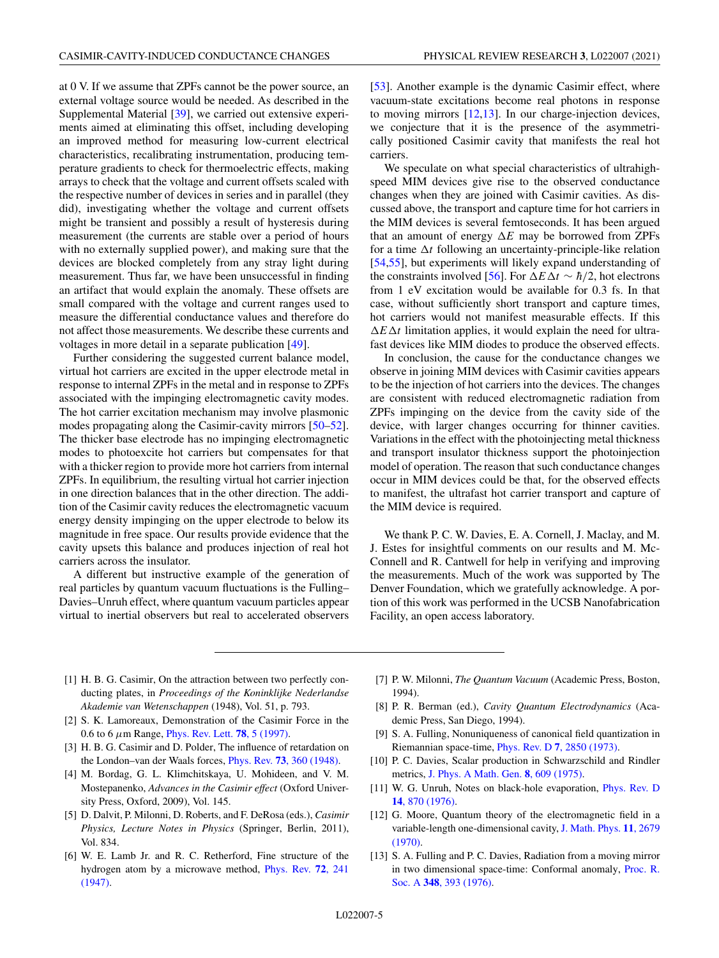<span id="page-4-0"></span>at 0 V. If we assume that ZPFs cannot be the power source, an external voltage source would be needed. As described in the Supplemental Material [\[39\]](#page-5-0), we carried out extensive experiments aimed at eliminating this offset, including developing an improved method for measuring low-current electrical characteristics, recalibrating instrumentation, producing temperature gradients to check for thermoelectric effects, making arrays to check that the voltage and current offsets scaled with the respective number of devices in series and in parallel (they did), investigating whether the voltage and current offsets might be transient and possibly a result of hysteresis during measurement (the currents are stable over a period of hours with no externally supplied power), and making sure that the devices are blocked completely from any stray light during measurement. Thus far, we have been unsuccessful in finding an artifact that would explain the anomaly. These offsets are small compared with the voltage and current ranges used to measure the differential conductance values and therefore do not affect those measurements. We describe these currents and voltages in more detail in a separate publication [\[49\]](#page-6-0).

Further considering the suggested current balance model, virtual hot carriers are excited in the upper electrode metal in response to internal ZPFs in the metal and in response to ZPFs associated with the impinging electromagnetic cavity modes. The hot carrier excitation mechanism may involve plasmonic modes propagating along the Casimir-cavity mirrors [\[50–52\]](#page-6-0). The thicker base electrode has no impinging electromagnetic modes to photoexcite hot carriers but compensates for that with a thicker region to provide more hot carriers from internal ZPFs. In equilibrium, the resulting virtual hot carrier injection in one direction balances that in the other direction. The addition of the Casimir cavity reduces the electromagnetic vacuum energy density impinging on the upper electrode to below its magnitude in free space. Our results provide evidence that the cavity upsets this balance and produces injection of real hot carriers across the insulator.

A different but instructive example of the generation of real particles by quantum vacuum fluctuations is the Fulling– Davies–Unruh effect, where quantum vacuum particles appear virtual to inertial observers but real to accelerated observers [\[53\]](#page-6-0). Another example is the dynamic Casimir effect, where vacuum-state excitations become real photons in response to moving mirrors  $[12,13]$ . In our charge-injection devices, we conjecture that it is the presence of the asymmetrically positioned Casimir cavity that manifests the real hot carriers.

We speculate on what special characteristics of ultrahighspeed MIM devices give rise to the observed conductance changes when they are joined with Casimir cavities. As discussed above, the transport and capture time for hot carriers in the MIM devices is several femtoseconds. It has been argued that an amount of energy  $\Delta E$  may be borrowed from ZPFs for a time  $\Delta t$  following an uncertainty-principle-like relation [\[54,55\]](#page-6-0), but experiments will likely expand understanding of the constraints involved [\[56\]](#page-6-0). For  $\Delta E \Delta t \sim \hbar/2$ , hot electrons from 1 eV excitation would be available for 0.3 fs. In that case, without sufficiently short transport and capture times, hot carriers would not manifest measurable effects. If this  $\Delta E \Delta t$  limitation applies, it would explain the need for ultrafast devices like MIM diodes to produce the observed effects.

In conclusion, the cause for the conductance changes we observe in joining MIM devices with Casimir cavities appears to be the injection of hot carriers into the devices. The changes are consistent with reduced electromagnetic radiation from ZPFs impinging on the device from the cavity side of the device, with larger changes occurring for thinner cavities. Variations in the effect with the photoinjecting metal thickness and transport insulator thickness support the photoinjection model of operation. The reason that such conductance changes occur in MIM devices could be that, for the observed effects to manifest, the ultrafast hot carrier transport and capture of the MIM device is required.

We thank P. C. W. Davies, E. A. Cornell, J. Maclay, and M. J. Estes for insightful comments on our results and M. Mc-Connell and R. Cantwell for help in verifying and improving the measurements. Much of the work was supported by The Denver Foundation, which we gratefully acknowledge. A portion of this work was performed in the UCSB Nanofabrication Facility, an open access laboratory.

- [1] H. B. G. Casimir, On the attraction between two perfectly conducting plates, in *Proceedings of the Koninklijke Nederlandse Akademie van Wetenschappen* (1948), Vol. 51, p. 793.
- [2] S. K. Lamoreaux, Demonstration of the Casimir Force in the 0.6 to 6 μm Range, [Phys. Rev. Lett.](https://doi.org/10.1103/PhysRevLett.78.5) **78**, 5 (1997).
- [3] H. B. G. Casimir and D. Polder, The influence of retardation on the London–van der Waals forces, Phys. Rev. **73**[, 360 \(1948\).](https://doi.org/10.1103/PhysRev.73.360)
- [4] M. Bordag, G. L. Klimchitskaya, U. Mohideen, and V. M. Mostepanenko, *Advances in the Casimir effect* (Oxford University Press, Oxford, 2009), Vol. 145.
- [5] D. Dalvit, P. Milonni, D. Roberts, and F. DeRosa (eds.), *Casimir Physics, Lecture Notes in Physics* (Springer, Berlin, 2011), Vol. 834.
- [6] W. E. Lamb Jr. and R. C. Retherford, Fine structure of the [hydrogen atom by a microwave method,](https://doi.org/10.1103/PhysRev.72.241) Phys. Rev. **72**, 241 (1947).
- [7] P. W. Milonni, *The Quantum Vacuum* (Academic Press, Boston, 1994).
- [8] P. R. Berman (ed.), *Cavity Quantum Electrodynamics* (Academic Press, San Diego, 1994).
- [9] S. A. Fulling, Nonuniqueness of canonical field quantization in Riemannian space-time, Phys. Rev. D **7**[, 2850 \(1973\).](https://doi.org/10.1103/PhysRevD.7.2850)
- [10] P. C. Davies, Scalar production in Schwarzschild and Rindler metrics, [J. Phys. A Math. Gen.](https://doi.org/10.1088/0305-4470/8/4/022) **8**, 609 (1975).
- [11] [W. G. Unruh, Notes on black-hole evaporation,](https://doi.org/10.1103/PhysRevD.14.870) Phys. Rev. D **14**, 870 (1976).
- [12] G. Moore, Quantum theory of the electromagnetic field in a [variable-length one-dimensional cavity,](https://doi.org/10.1063/1.1665432) J. Math. Phys. **11**, 2679 (1970).
- [13] S. A. Fulling and P. C. Davies, Radiation from a moving mirror [in two dimensional space-time: Conformal anomaly,](https://doi.org/10.1098/rspa.1976.0045) Proc. R. Soc. A **348**, 393 (1976).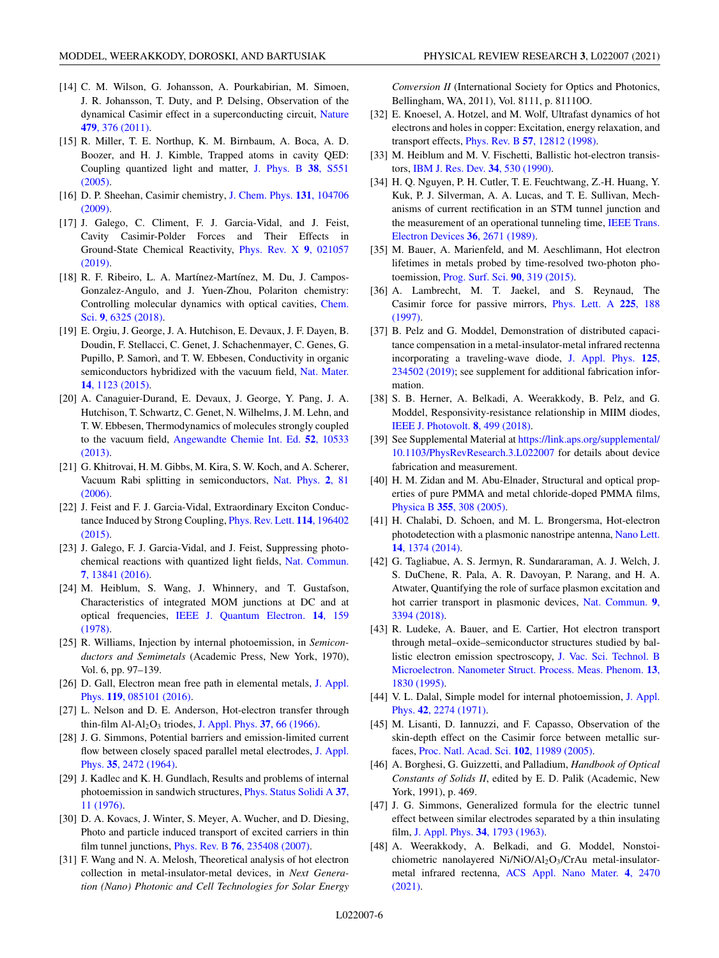- <span id="page-5-0"></span>[14] C. M. Wilson, G. Johansson, A. Pourkabirian, M. Simoen, J. R. Johansson, T. Duty, and P. Delsing, Observation of the [dynamical Casimir effect in a superconducting circuit,](https://doi.org/10.1038/nature10561) Nature **479**, 376 (2011).
- [15] R. Miller, T. E. Northup, K. M. Birnbaum, A. Boca, A. D. Boozer, and H. J. Kimble, Trapped atoms in cavity QED: [Coupling quantized light and matter,](https://doi.org/10.1088/0953-4075/38/9/007) J. Phys. B **38**, S551 (2005).
- [16] [D. P. Sheehan, Casimir chemistry,](https://doi.org/10.1063/1.3224158) J. Chem. Phys. **131**, 104706 (2009).
- [17] J. Galego, C. Climent, F. J. Garcia-Vidal, and J. Feist, Cavity Casimir-Polder Forces and Their Effects in [Ground-State Chemical Reactivity,](https://doi.org/10.1103/PhysRevX.9.021057) Phys. Rev. X **9**, 021057 (2019).
- [18] R. F. Ribeiro, L. A. Martínez-Martínez, M. Du, J. Campos-Gonzalez-Angulo, and J. Yuen-Zhou, Polariton chemistry: [Controlling molecular dynamics with optical cavities,](https://doi.org/10.1039/C8SC01043A) Chem. Sci. **9**, 6325 (2018).
- [19] E. Orgiu, J. George, J. A. Hutchison, E. Devaux, J. F. Dayen, B. Doudin, F. Stellacci, C. Genet, J. Schachenmayer, C. Genes, G. Pupillo, P. Samorì, and T. W. Ebbesen, Conductivity in organic [semiconductors hybridized with the vacuum field,](https://doi.org/10.1038/nmat4392) Nat. Mater. **14**, 1123 (2015).
- [20] A. Canaguier-Durand, E. Devaux, J. George, Y. Pang, J. A. Hutchison, T. Schwartz, C. Genet, N. Wilhelms, J. M. Lehn, and T. W. Ebbesen, Thermodynamics of molecules strongly coupled to the vacuum field, [Angewandte Chemie Int. Ed.](https://doi.org/10.1002/anie.201301861) **52**, 10533 (2013).
- [21] G. Khitrovai, H. M. Gibbs, M. Kira, S. W. Koch, and A. Scherer, [Vacuum Rabi splitting in semiconductors,](https://doi.org/10.1038/nphys227) Nat. Phys. **2**, 81 (2006).
- [22] J. Feist and F. J. Garcia-Vidal, Extraordinary Exciton Conduc[tance Induced by Strong Coupling,](https://doi.org/10.1103/PhysRevLett.114.196402) Phys. Rev. Lett. **114**, 196402 (2015).
- [23] J. Galego, F. J. Garcia-Vidal, and J. Feist, Suppressing photo[chemical reactions with quantized light fields,](https://doi.org/10.1038/ncomms13841) Nat. Commun. **7**, 13841 (2016).
- [24] M. Heiblum, S. Wang, J. Whinnery, and T. Gustafson, Characteristics of integrated MOM junctions at DC and at optical frequencies, [IEEE J. Quantum Electron.](https://doi.org/10.1109/JQE.1978.1069765) **14**, 159 (1978).
- [25] R. Williams, Injection by internal photoemission, in *Semiconductors and Semimetals* (Academic Press, New York, 1970), Vol. 6, pp. 97–139.
- [26] [D. Gall, Electron mean free path in elemental metals,](https://doi.org/10.1063/1.4942216) J. Appl. Phys. **119**, 085101 (2016).
- [27] L. Nelson and D. E. Anderson, Hot-electron transfer through thin-film Al-Al<sub>2</sub>O<sub>3</sub> triodes, [J. Appl. Phys.](https://doi.org/10.1063/1.1707893) **37**, 66 (1966).
- [28] J. G. Simmons, Potential barriers and emission-limited current [flow between closely spaced parallel metal electrodes,](https://doi.org/10.1063/1.1702884) J. Appl. Phys. **35**, 2472 (1964).
- [29] J. Kadlec and K. H. Gundlach, Results and problems of internal [photoemission in sandwich structures,](https://doi.org/10.1002/pssa.2210370102) Phys. Status Solidi A **37**, 11 (1976).
- [30] D. A. Kovacs, J. Winter, S. Meyer, A. Wucher, and D. Diesing, Photo and particle induced transport of excited carriers in thin film tunnel junctions, Phys. Rev. B **76**[, 235408 \(2007\).](https://doi.org/10.1103/PhysRevB.76.235408)
- [31] F. Wang and N. A. Melosh, Theoretical analysis of hot electron collection in metal-insulator-metal devices, in *Next Generation (Nano) Photonic and Cell Technologies for Solar Energy*

*Conversion II* (International Society for Optics and Photonics, Bellingham, WA, 2011), Vol. 8111, p. 81110O.

- [32] E. Knoesel, A. Hotzel, and M. Wolf, Ultrafast dynamics of hot electrons and holes in copper: Excitation, energy relaxation, and transport effects, Phys. Rev. B **57**[, 12812 \(1998\).](https://doi.org/10.1103/PhysRevB.57.12812)
- [33] M. Heiblum and M. V. Fischetti, Ballistic hot-electron transistors, [IBM J. Res. Dev.](https://doi.org/10.1147/rd.344.0530) **34**, 530 (1990).
- [34] H. Q. Nguyen, P. H. Cutler, T. E. Feuchtwang, Z.-H. Huang, Y. Kuk, P. J. Silverman, A. A. Lucas, and T. E. Sullivan, Mechanisms of current rectification in an STM tunnel junction and [the measurement of an operational tunneling time,](https://doi.org/10.1109/16.43771) IEEE Trans. Electron Devices **36**, 2671 (1989).
- [35] M. Bauer, A. Marienfeld, and M. Aeschlimann, Hot electron lifetimes in metals probed by time-resolved two-photon photoemission, [Prog. Surf. Sci.](https://doi.org/10.1016/j.progsurf.2015.05.001) **90**, 319 (2015).
- [36] A. Lambrecht, M. T. Jaekel, and S. Reynaud, The [Casimir force for passive mirrors,](https://doi.org/10.1016/S0375-9601(96)00885-7) Phys. Lett. A **225**, 188 (1997).
- [37] B. Pelz and G. Moddel, Demonstration of distributed capacitance compensation in a metal-insulator-metal infrared rectenna incorporating a traveling-wave diode, J. Appl. Phys. **125**, [234502 \(2019\); see supplement for additional fabrication infor](https://doi.org/10.1063/1.5083155)mation.
- [38] S. B. Herner, A. Belkadi, A. Weerakkody, B. Pelz, and G. Moddel, Responsivity-resistance relationship in MIIM diodes, [IEEE J. Photovolt.](https://doi.org/10.1109/JPHOTOV.2018.2791421) **8**, 499 (2018).
- [39] See Supplemental Material at https://link.aps.org/supplemental/ [10.1103/PhysRevResearch.3.L022007](https://link.aps.org/supplemental/10.1103/PhysRevResearch.3.L022007) for details about device fabrication and measurement.
- [40] H. M. Zidan and M. Abu-Elnader, Structural and optical properties of pure PMMA and metal chloride-doped PMMA films, Physica B **355**[, 308 \(2005\).](https://doi.org/10.1016/j.physb.2004.11.023)
- [41] H. Chalabi, D. Schoen, and M. L. Brongersma, Hot-electron [photodetection with a plasmonic nanostripe antenna,](https://doi.org/10.1021/nl4044373) Nano Lett. **14**, 1374 (2014).
- [42] G. Tagliabue, A. S. Jermyn, R. Sundararaman, A. J. Welch, J. S. DuChene, R. Pala, A. R. Davoyan, P. Narang, and H. A. Atwater, Quantifying the role of surface plasmon excitation and [hot carrier transport in plasmonic devices,](https://doi.org/10.1038/s41467-018-05968-x) Nat. Commun. **9**, 3394 (2018).
- [43] R. Ludeke, A. Bauer, and E. Cartier, Hot electron transport through metal–oxide–semiconductor structures studied by ballistic electron emission spectroscopy, J. Vac. Sci. Technol. B [Microelectron. Nanometer Struct. Process. Meas. Phenom.](https://doi.org/10.1116/1.587821) **13**, 1830 (1995).
- [44] [V. L. Dalal, Simple model for internal photoemission,](https://doi.org/10.1063/1.1660536) J. Appl. Phys. **42**, 2274 (1971).
- [45] M. Lisanti, D. Iannuzzi, and F. Capasso, Observation of the skin-depth effect on the Casimir force between metallic surfaces, [Proc. Natl. Acad. Sci.](https://doi.org/10.1073/pnas.0505614102) **102**, 11989 (2005).
- [46] A. Borghesi, G. Guizzetti, and Palladium, *Handbook of Optical Constants of Solids II*, edited by E. D. Palik (Academic, New York, 1991), p. 469.
- [47] J. G. Simmons, Generalized formula for the electric tunnel effect between similar electrodes separated by a thin insulating film, [J. Appl. Phys.](https://doi.org/10.1063/1.1702682) **34**, 1793 (1963).
- [48] A. Weerakkody, A. Belkadi, and G. Moddel, Nonstoichiometric nanolayered Ni/NiO/Al2O3/CrAu metal-insulatormetal infrared rectenna, [ACS Appl. Nano Mater.](https://doi.org/10.1021/acsanm.0c03012) **4**, 2470 (2021).